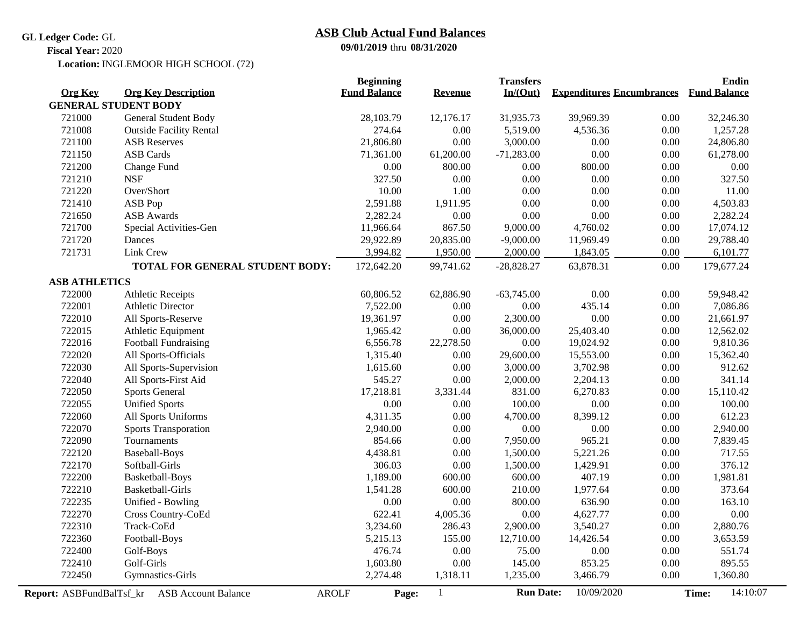**GL Ledger Code:** GL

# **09/01/2019** thru **08/31/2020 ASB Club Actual Fund Balances**

**Fiscal Year:** 2020

Location: INGLEMOOR HIGH SCHOOL (72)

|                          |                                            | <b>Beginning</b>    |                | <b>Transfers</b> |                                  |      | <b>Endin</b>        |  |
|--------------------------|--------------------------------------------|---------------------|----------------|------------------|----------------------------------|------|---------------------|--|
| <b>Org Key</b>           | <b>Org Key Description</b>                 | <b>Fund Balance</b> | <b>Revenue</b> | In/(Out)         | <b>Expenditures Encumbrances</b> |      | <b>Fund Balance</b> |  |
|                          | <b>GENERAL STUDENT BODY</b>                |                     |                |                  |                                  |      |                     |  |
| 721000                   | General Student Body                       | 28,103.79           | 12,176.17      | 31,935.73        | 39,969.39                        | 0.00 | 32,246.30           |  |
| 721008                   | <b>Outside Facility Rental</b>             | 274.64              | 0.00           | 5,519.00         | 4,536.36                         | 0.00 | 1,257.28            |  |
| 721100                   | <b>ASB Reserves</b>                        | 21,806.80           | 0.00           | 3,000.00         | 0.00                             | 0.00 | 24,806.80           |  |
| 721150                   | <b>ASB</b> Cards                           | 71,361.00           | 61,200.00      | $-71,283.00$     | 0.00                             | 0.00 | 61,278.00           |  |
| 721200                   | Change Fund                                | $0.00\,$            | 800.00         | $0.00\,$         | 800.00                           | 0.00 | $0.00\,$            |  |
| 721210                   | <b>NSF</b>                                 | 327.50              | 0.00           | 0.00             | 0.00                             | 0.00 | 327.50              |  |
| 721220                   | Over/Short                                 | 10.00               | 1.00           | 0.00             | 0.00                             | 0.00 | 11.00               |  |
| 721410                   | ASB Pop                                    | 2,591.88            | 1,911.95       | 0.00             | 0.00                             | 0.00 | 4,503.83            |  |
| 721650                   | <b>ASB</b> Awards                          | 2,282.24            | 0.00           | 0.00             | 0.00                             | 0.00 | 2,282.24            |  |
| 721700                   | Special Activities-Gen                     | 11,966.64           | 867.50         | 9,000.00         | 4,760.02                         | 0.00 | 17,074.12           |  |
| 721720                   | Dances                                     | 29,922.89           | 20,835.00      | $-9,000.00$      | 11,969.49                        | 0.00 | 29,788.40           |  |
| 721731                   | Link Crew                                  | 3,994.82            | 1,950.00       | 2,000.00         | 1,843.05                         | 0.00 | 6,101.77            |  |
|                          | TOTAL FOR GENERAL STUDENT BODY:            | 172,642.20          | 99,741.62      | $-28,828.27$     | 63,878.31                        | 0.00 | 179,677.24          |  |
| <b>ASB ATHLETICS</b>     |                                            |                     |                |                  |                                  |      |                     |  |
| 722000                   | <b>Athletic Receipts</b>                   | 60,806.52           | 62,886.90      | $-63,745.00$     | 0.00                             | 0.00 | 59,948.42           |  |
| 722001                   | <b>Athletic Director</b>                   | 7,522.00            | 0.00           | 0.00             | 435.14                           | 0.00 | 7,086.86            |  |
| 722010                   | All Sports-Reserve                         | 19,361.97           | 0.00           | 2,300.00         | 0.00                             | 0.00 | 21,661.97           |  |
| 722015                   | Athletic Equipment                         | 1,965.42            | 0.00           | 36,000.00        | 25,403.40                        | 0.00 | 12,562.02           |  |
| 722016                   | <b>Football Fundraising</b>                | 6,556.78            | 22,278.50      | 0.00             | 19,024.92                        | 0.00 | 9,810.36            |  |
| 722020                   | All Sports-Officials                       | 1,315.40            | 0.00           | 29,600.00        | 15,553.00                        | 0.00 | 15,362.40           |  |
| 722030                   | All Sports-Supervision                     | 1,615.60            | 0.00           | 3,000.00         | 3,702.98                         | 0.00 | 912.62              |  |
| 722040                   | All Sports-First Aid                       | 545.27              | 0.00           | 2,000.00         | 2,204.13                         | 0.00 | 341.14              |  |
| 722050                   | <b>Sports General</b>                      | 17,218.81           | 3,331.44       | 831.00           | 6,270.83                         | 0.00 | 15,110.42           |  |
| 722055                   | <b>Unified Sports</b>                      | 0.00                | 0.00           | 100.00           | 0.00                             | 0.00 | 100.00              |  |
| 722060                   | All Sports Uniforms                        | 4,311.35            | 0.00           | 4,700.00         | 8,399.12                         | 0.00 | 612.23              |  |
| 722070                   | <b>Sports Transporation</b>                | 2,940.00            | 0.00           | 0.00             | 0.00                             | 0.00 | 2,940.00            |  |
| 722090                   | Tournaments                                | 854.66              | 0.00           | 7,950.00         | 965.21                           | 0.00 | 7,839.45            |  |
| 722120                   | <b>Baseball-Boys</b>                       | 4,438.81            | 0.00           | 1,500.00         | 5,221.26                         | 0.00 | 717.55              |  |
| 722170                   | Softball-Girls                             | 306.03              | 0.00           | 1,500.00         | 1,429.91                         | 0.00 | 376.12              |  |
| 722200                   | Basketball-Boys                            | 1,189.00            | 600.00         | 600.00           | 407.19                           | 0.00 | 1,981.81            |  |
| 722210                   | <b>Basketball-Girls</b>                    | 1,541.28            | 600.00         | 210.00           | 1,977.64                         | 0.00 | 373.64              |  |
| 722235                   | Unified - Bowling                          | 0.00                | 0.00           | 800.00           | 636.90                           | 0.00 | 163.10              |  |
| 722270                   | Cross Country-CoEd                         | 622.41              | 4,005.36       | $0.00\,$         | 4,627.77                         | 0.00 | 0.00                |  |
| 722310                   | Track-CoEd                                 | 3,234.60            | 286.43         | 2,900.00         | 3,540.27                         | 0.00 | 2,880.76            |  |
| 722360                   | Football-Boys                              | 5,215.13            | 155.00         | 12,710.00        | 14,426.54                        | 0.00 | 3,653.59            |  |
| 722400                   | Golf-Boys                                  | 476.74              | 0.00           | 75.00            | 0.00                             | 0.00 | 551.74              |  |
| 722410                   | Golf-Girls                                 | 1,603.80            | 0.00           | 145.00           | 853.25                           | 0.00 | 895.55              |  |
| 722450                   | Gymnastics-Girls                           | 2,274.48            | 1,318.11       | 1,235.00         | 3,466.79                         | 0.00 | 1,360.80            |  |
| Report: ASBFundBalTsf_kr | <b>ASB Account Balance</b><br><b>AROLF</b> | Page:               | $\mathbf{1}$   | <b>Run Date:</b> | 10/09/2020                       |      | 14:10:07<br>Time:   |  |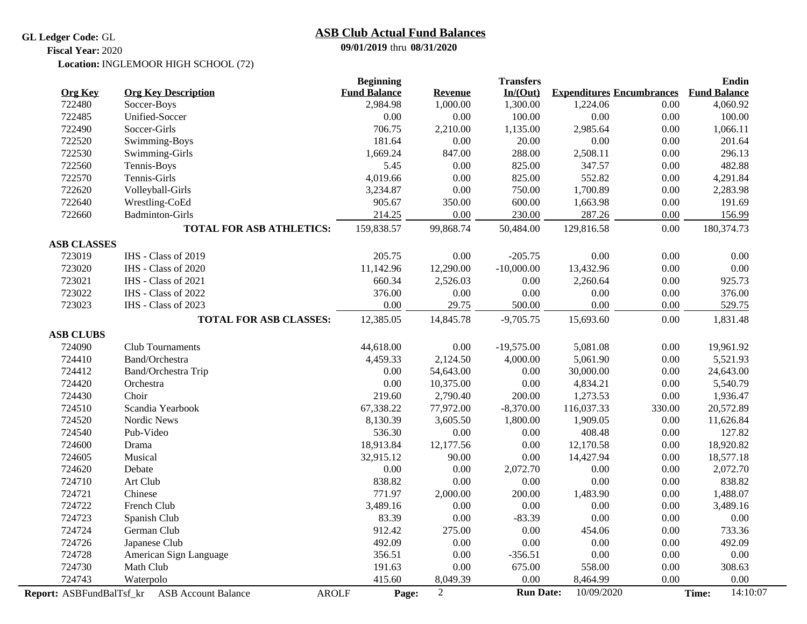### **GL Ledger Code:** GL

# **ASB Club Actual Fund Balances**

**09/01/2019** thru **08/31/2020**

#### Location: INGLEMOOR HIGH SCHOOL (72) **Fiscal Year:** 2020

| <b>Org Key</b>     | <b>Org Key Description</b>                                   | <b>Beginning</b><br><b>Fund Balance</b> | <b>Revenue</b> | <b>Transfers</b><br>In/(Out) | <b>Expenditures Encumbrances</b> |        | <b>Endin</b><br><b>Fund Balance</b> |
|--------------------|--------------------------------------------------------------|-----------------------------------------|----------------|------------------------------|----------------------------------|--------|-------------------------------------|
| 722480             | Soccer-Boys                                                  | 2,984.98                                | 1,000.00       | 1,300.00                     | 1,224.06                         | 0.00   | 4,060.92                            |
| 722485             | Unified-Soccer                                               | 0.00                                    | 0.00           | 100.00                       | 0.00                             | 0.00   | 100.00                              |
| 722490             | Soccer-Girls                                                 | 706.75                                  | 2,210.00       | 1,135.00                     | 2,985.64                         | 0.00   | 1,066.11                            |
| 722520             | Swimming-Boys                                                | 181.64                                  | 0.00           | 20.00                        | 0.00                             | 0.00   | 201.64                              |
| 722530             | Swimming-Girls                                               | 1,669.24                                | 847.00         | 288.00                       | 2,508.11                         | 0.00   | 296.13                              |
| 722560             | Tennis-Boys                                                  | 5.45                                    | 0.00           | 825.00                       | 347.57                           | 0.00   | 482.88                              |
| 722570             | Tennis-Girls                                                 | 4,019.66                                | 0.00           | 825.00                       | 552.82                           | 0.00   | 4,291.84                            |
| 722620             | Volleyball-Girls                                             | 3,234.87                                | 0.00           | 750.00                       | 1,700.89                         | 0.00   | 2,283.98                            |
| 722640             | Wrestling-CoEd                                               | 905.67                                  | 350.00         | 600.00                       | 1,663.98                         | 0.00   | 191.69                              |
| 722660             | <b>Badminton-Girls</b>                                       | 214.25                                  | 0.00           | 230.00                       | 287.26                           | 0.00   | 156.99                              |
|                    | <b>TOTAL FOR ASB ATHLETICS:</b>                              | 159,838.57                              | 99,868.74      | 50,484.00                    | 129,816.58                       | 0.00   | 180,374.73                          |
| <b>ASB CLASSES</b> |                                                              |                                         |                |                              |                                  |        |                                     |
| 723019             | IHS - Class of 2019                                          | 205.75                                  | 0.00           | $-205.75$                    | 0.00                             | 0.00   | 0.00                                |
| 723020             | IHS - Class of 2020                                          | 11,142.96                               | 12,290.00      | $-10,000.00$                 | 13,432.96                        | 0.00   | 0.00                                |
| 723021             | IHS - Class of 2021                                          | 660.34                                  | 2,526.03       | 0.00                         | 2,260.64                         | 0.00   | 925.73                              |
| 723022             | IHS - Class of 2022                                          | 376.00                                  | 0.00           | 0.00                         | 0.00                             | 0.00   | 376.00                              |
| 723023             | IHS - Class of 2023                                          | 0.00                                    | 29.75          | 500.00                       | 0.00                             | 0.00   | 529.75                              |
|                    | <b>TOTAL FOR ASB CLASSES:</b>                                | 12,385.05                               | 14,845.78      | $-9,705.75$                  | 15,693.60                        | 0.00   | 1,831.48                            |
| <b>ASB CLUBS</b>   |                                                              |                                         |                |                              |                                  |        |                                     |
| 724090             | Club Tournaments                                             | 44,618.00                               | 0.00           | $-19,575.00$                 | 5,081.08                         | 0.00   | 19,961.92                           |
| 724410             | Band/Orchestra                                               | 4,459.33                                | 2,124.50       | 4,000.00                     | 5,061.90                         | 0.00   | 5,521.93                            |
| 724412             | Band/Orchestra Trip                                          | 0.00                                    | 54,643.00      | 0.00                         | 30,000.00                        | 0.00   | 24,643.00                           |
| 724420             | Orchestra                                                    | 0.00                                    | 10,375.00      | 0.00                         | 4,834.21                         | 0.00   | 5,540.79                            |
| 724430             | Choir                                                        | 219.60                                  | 2,790.40       | 200.00                       | 1,273.53                         | 0.00   | 1,936.47                            |
| 724510             | Scandia Yearbook                                             | 67,338.22                               | 77,972.00      | $-8,370.00$                  | 116,037.33                       | 330.00 | 20,572.89                           |
| 724520             | Nordic News                                                  | 8,130.39                                | 3,605.50       | 1,800.00                     | 1,909.05                         | 0.00   | 11,626.84                           |
| 724540             | Pub-Video                                                    | 536.30                                  | 0.00           | 0.00                         | 408.48                           | 0.00   | 127.82                              |
| 724600             | Drama                                                        | 18,913.84                               | 12,177.56      | 0.00                         | 12,170.58                        | 0.00   | 18,920.82                           |
| 724605             | Musical                                                      | 32,915.12                               | 90.00          | 0.00                         | 14,427.94                        | 0.00   | 18,577.18                           |
| 724620             | Debate                                                       | 0.00                                    | 0.00           | 2,072.70                     | 0.00                             | 0.00   | 2,072.70                            |
| 724710             | Art Club                                                     | 838.82                                  | 0.00           | 0.00                         | 0.00                             | 0.00   | 838.82                              |
| 724721             | Chinese                                                      | 771.97                                  | 2,000.00       | 200.00                       | 1,483.90                         | 0.00   | 1,488.07                            |
| 724722             | French Club                                                  | 3,489.16                                | 0.00           | 0.00                         | 0.00                             | 0.00   | 3,489.16                            |
| 724723             | Spanish Club                                                 | 83.39                                   | 0.00           | $-83.39$                     | 0.00                             | 0.00   | 0.00                                |
| 724724             | German Club                                                  | 912.42                                  | 275.00         | 0.00                         | 454.06                           | 0.00   | 733.36                              |
| 724726             | Japanese Club                                                | 492.09                                  | 0.00           | 0.00                         | 0.00                             | 0.00   | 492.09                              |
| 724728             | American Sign Language                                       | 356.51                                  | 0.00           | $-356.51$                    | 0.00                             | 0.00   | 0.00                                |
| 724730             | Math Club                                                    | 191.63                                  | 0.00           | 675.00                       | 558.00                           | 0.00   | 308.63                              |
| 724743             | Waterpolo                                                    | 415.60                                  | 8,049.39       | 0.00                         | 8,464.99                         | 0.00   | 0.00                                |
|                    | Report: ASBFundBalTsf_kr ASB Account Balance<br><b>AROLF</b> | Page:                                   | $\sqrt{2}$     | <b>Run Date:</b>             | 10/09/2020                       |        | 14:10:07<br>Time:                   |